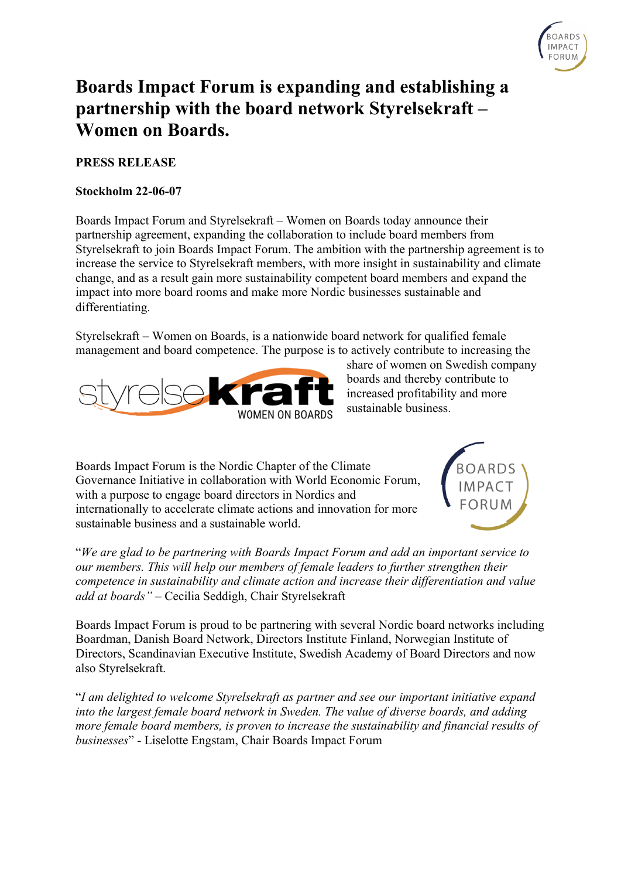

# **Boards Impact Forum is expanding and establishing a partnership with the board network Styrelsekraft – Women on Boards.**

# **PRESS RELEASE**

#### **Stockholm 22-06-07**

Boards Impact Forum and Styrelsekraft – Women on Boards today announce their partnership agreement, expanding the collaboration to include board members from Styrelsekraft to join Boards Impact Forum. The ambition with the partnership agreement is to increase the service to Styrelsekraft members, with more insight in sustainability and climate change, and as a result gain more sustainability competent board members and expand the impact into more board rooms and make more Nordic businesses sustainable and differentiating.

Styrelsekraft – Women on Boards, is a nationwide board network for qualified female management and board competence. The purpose is to actively contribute to increasing the



share of women on Swedish company boards and thereby contribute to increased profitability and more sustainable business.

Boards Impact Forum is the Nordic Chapter of the Climate Governance Initiative in collaboration with World Economic Forum, with a purpose to engage board directors in Nordics and internationally to accelerate climate actions and innovation for more sustainable business and a sustainable world.



"*We are glad to be partnering with Boards Impact Forum and add an important service to our members. This will help our members of female leaders to further strengthen their competence in sustainability and climate action and increase their differentiation and value add at boards"* – Cecilia Seddigh, Chair Styrelsekraft

Boards Impact Forum is proud to be partnering with several Nordic board networks including Boardman, Danish Board Network, Directors Institute Finland, Norwegian Institute of Directors, Scandinavian Executive Institute, Swedish Academy of Board Directors and now also Styrelsekraft.

"*I am delighted to welcome Styrelsekraft as partner and see our important initiative expand into the largest female board network in Sweden. The value of diverse boards, and adding more female board members, is proven to increase the sustainability and financial results of businesses*" - Liselotte Engstam, Chair Boards Impact Forum